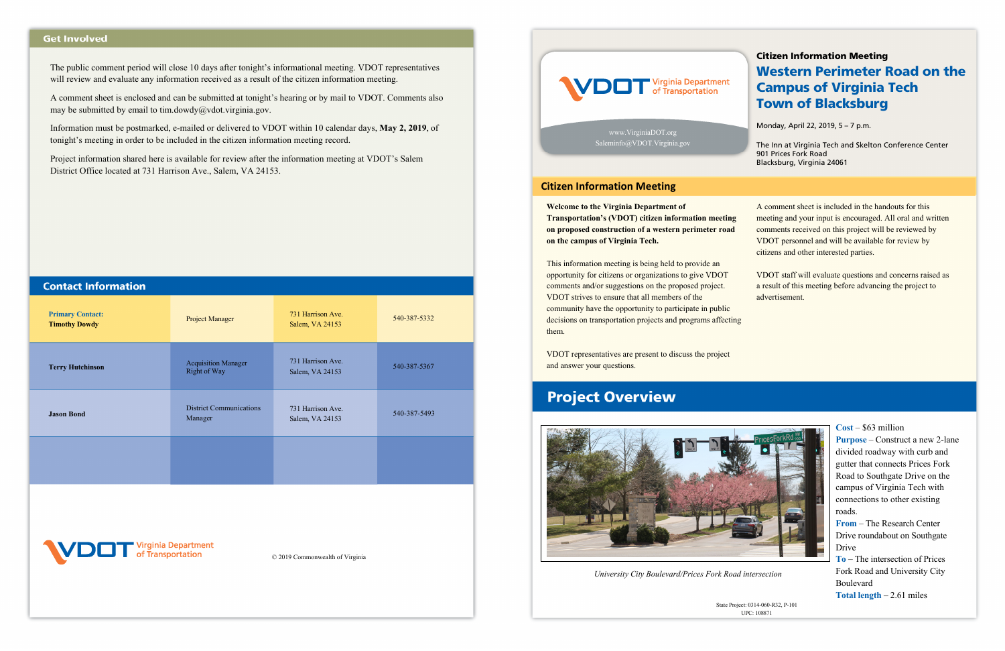A comment sheet is enclosed and can be submitted at tonight's hearing or by mail to VDOT. Comments also may be submitted by email to tim.dowdy@vdot.virginia.gov.

#### **Get Involved**

The public comment period will close 10 days after tonight's informational meeting. VDOT representatives will review and evaluate any information received as a result of the citizen information meeting.

| <b>Primary Contact:</b><br><b>Timothy Dowdy</b>             | <b>Project Manager</b>                     | 731 Harrison Ave.<br>Salem, VA 24153 | 540-387-5332 |  |  |  |  |
|-------------------------------------------------------------|--------------------------------------------|--------------------------------------|--------------|--|--|--|--|
| <b>Terry Hutchinson</b>                                     | <b>Acquisition Manager</b><br>Right of Way | 731 Harrison Ave.<br>Salem, VA 24153 | 540-387-5367 |  |  |  |  |
| <b>Jason Bond</b>                                           | <b>District Communications</b><br>Manager  | 731 Harrison Ave.<br>Salem, VA 24153 | 540-387-5493 |  |  |  |  |
|                                                             |                                            |                                      |              |  |  |  |  |
|                                                             |                                            |                                      |              |  |  |  |  |
| VDOT Virginia Department<br>© 2019 Commonwealth of Virginia |                                            |                                      |              |  |  |  |  |



Information must be postmarked, e-mailed or delivered to VDOT within 10 calendar days, **May 2, 2019**, of tonight's meeting in order to be included in the citizen information meeting record.

Project information shared here is available for review after the information meeting at VDOT's Salem District Office located at 731 Harrison Ave., Salem, VA 24153.

| <b>Contact Informatio</b> |  |  |  |  |
|---------------------------|--|--|--|--|
|                           |  |  |  |  |
|                           |  |  |  |  |
|                           |  |  |  |  |

**Welcome to the Virginia Department of Transportation's (VDOT) citizen information meeting on proposed construction of a western perimeter road on the campus of Virginia Tech.** 

This information meeting is being held to provide an opportunity for citizens or organizations to give VDOT comments and/or suggestions on the proposed project. VDOT strives to ensure that all members of the community have the opportunity to participate in public decisions on transportation projects and programs affecting them.

VDOT representatives are present to discuss the project and answer your questions.

## **Project Overview**



A comment sheet is included in the handouts for this meeting and your input is encouraged. All oral and written comments received on this project will be reviewed by VDOT personnel and will be available for review by citizens and other interested parties.

VDOT staff will evaluate questions and concerns raised as a result of this meeting before advancing the project to advertisement.



#### **Cost** – \$63 million

**Purpose** – Construct a new 2-lane divided roadway with curb and gutter that connects Prices Fork Road to Southgate Drive on the campus of Virginia Tech with connections to other existing roads.

**From** – The Research Center Drive roundabout on Southgate Drive

**To** – The intersection of Prices Fork Road and University City Boulevard

**Total length** – 2.61 miles

www.VirginiaDOT.org Saleminfo@VDOT.Virginia.gov

#### Citizen Information Meeting

### Western Perimeter Road on the Campus of Virginia Tech Town of Blacksburg

Monday, April 22, 2019, 5 – 7 p.m.

The Inn at Virginia Tech and Skelton Conference Center 901 Prices Fork Road Blacksburg, Virginia 24061

State Project: 0314-060-R32, P-101 UPC: 108871

*University City Boulevard/Prices Fork Road intersection*

#### **Citizen Information Meeting**